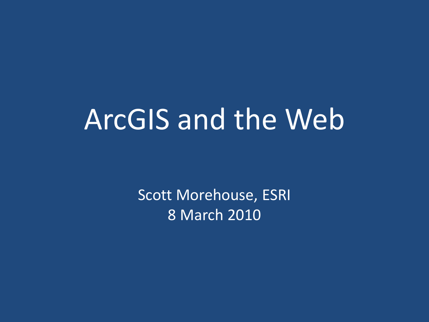# ArcGIS and the Web

Scott Morehouse, ESRI 8 March 2010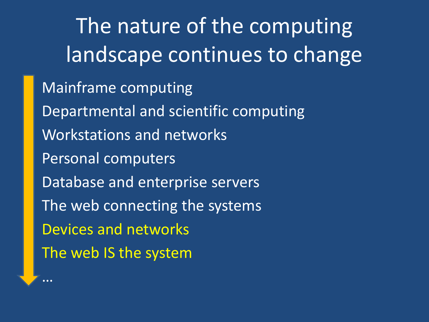The nature of the computing landscape continues to change Mainframe computing • Departmental and scientific computing • Workstations and networks Personal computers Database and enterprise servers The web connecting the systems • Devices and networks The web IS the system

• …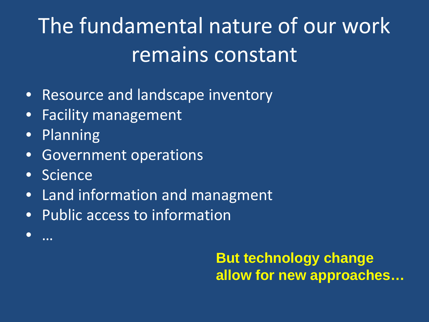# The fundamental nature of our work remains constant

- Resource and landscape inventory
- Facility management
- Planning
- Government operations
- Science

• …

- Land information and managment
- Public access to information

**But technology change allow for new approaches…**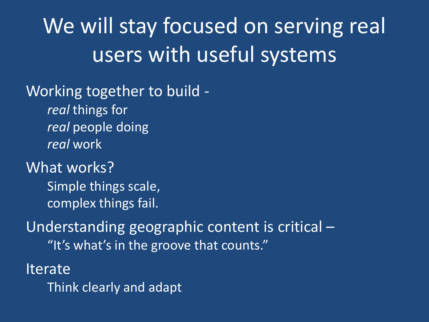## We will stay focused on serving real users with useful systems

Working together to build *real* things for *real* people doing *real* work

What works?

Simple things scale, complex things fail.

Understanding geographic content is critical – "It's what's in the groove that counts."

**Iterate** 

Think clearly and adapt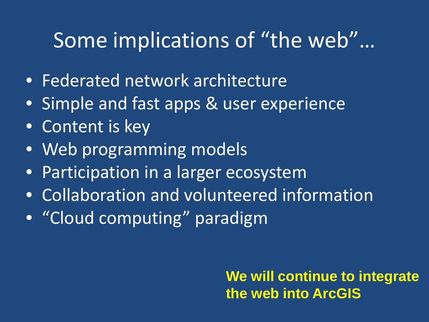### Some implications of "the web"…

- Federated network architecture
- Simple and fast apps & user experience
- Content is key
- Web programming models
- Participation in a larger ecosystem
- Collaboration and volunteered information
- "Cloud computing" paradigm

**We will continue to integrate the web into ArcGIS**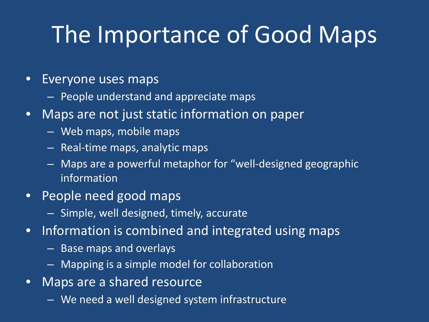# The Importance of Good Maps

#### • Everyone uses maps

- People understand and appreciate maps
- Maps are not just static information on paper
	- Web maps, mobile maps
	- Real-time maps, analytic maps
	- Maps are a powerful metaphor for "well-designed geographic information
- People need good maps
	- Simple, well designed, timely, accurate
- Information is combined and integrated using maps
	- Base maps and overlays
	- Mapping is a simple model for collaboration
- Maps are a shared resource
	- We need a well designed system infrastructure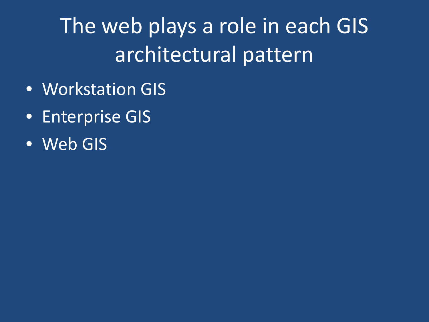The web plays a role in each GIS architectural pattern

- Workstation GIS
- Enterprise GIS
- Web GIS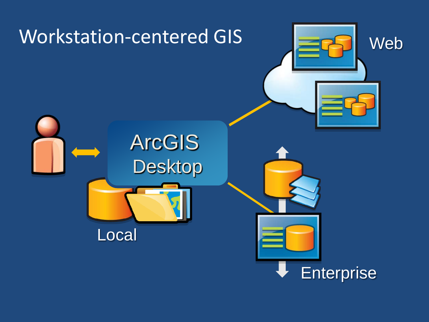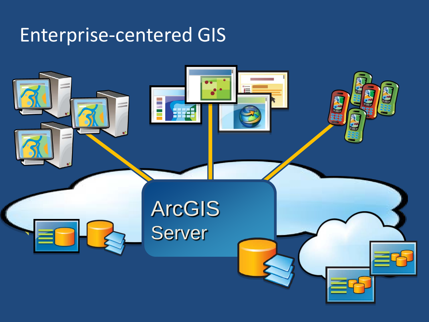### Enterprise-centered GIS

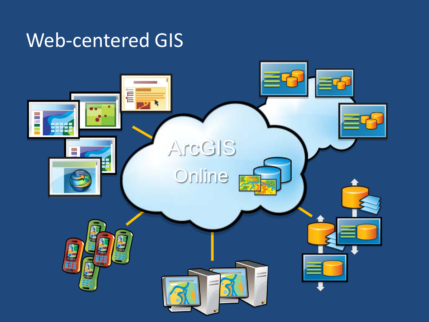### Web-centered GIS

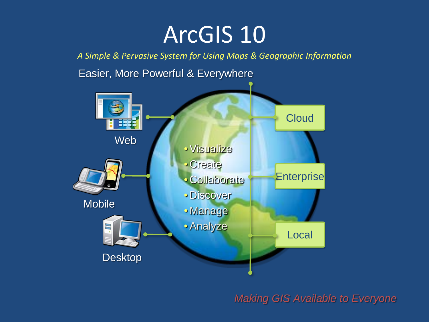## ArcGIS 10

*A Simple & Pervasive System for Using Maps & Geographic Information*

Easier, More Powerful & Everywhere



*Making GIS Available to Everyone*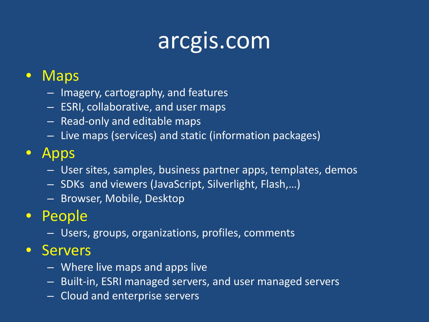## arcgis.com

#### • Maps

- Imagery, cartography, and features
- ESRI, collaborative, and user maps
- Read-only and editable maps
- Live maps (services) and static (information packages)

### • Apps

- User sites, samples, business partner apps, templates, demos
- SDKs and viewers (JavaScript, Silverlight, Flash,…)
- Browser, Mobile, Desktop

### • People

– Users, groups, organizations, profiles, comments

#### • Servers

- Where live maps and apps live
- Built-in, ESRI managed servers, and user managed servers
- Cloud and enterprise servers